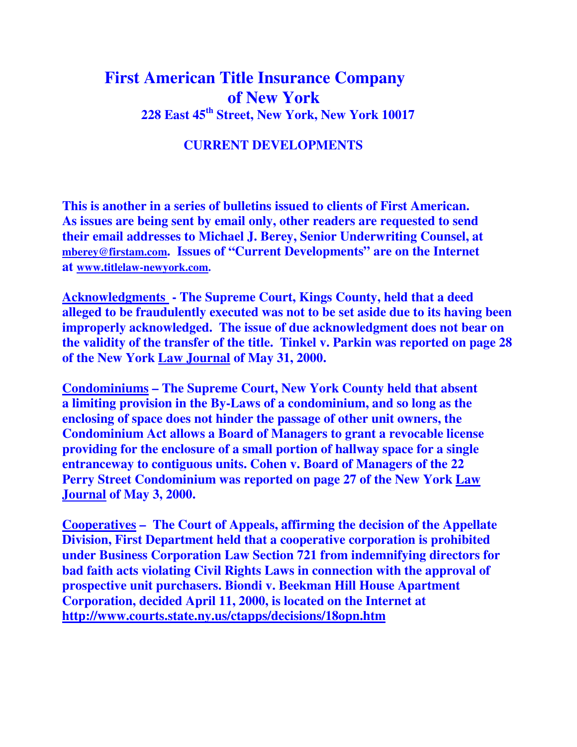## **First American Title Insurance Company of New York 228 East 45th Street, New York, New York 10017**

## **CURRENT DEVELOPMENTS**

**This is another in a series of bulletins issued to clients of First American. As issues are being sent by email only, other readers are requested to send their email addresses to Michael J. Berey, Senior Underwriting Counsel, at mberey@firstam.com. Issues of "Current Developments" are on the Internet at www.titlelaw-newyork.com.** 

**Acknowledgments - The Supreme Court, Kings County, held that a deed alleged to be fraudulently executed was not to be set aside due to its having been improperly acknowledged. The issue of due acknowledgment does not bear on the validity of the transfer of the title. Tinkel v. Parkin was reported on page 28 of the New York Law Journal of May 31, 2000.** 

**Condominiums – The Supreme Court, New York County held that absent a limiting provision in the By-Laws of a condominium, and so long as the enclosing of space does not hinder the passage of other unit owners, the Condominium Act allows a Board of Managers to grant a revocable license providing for the enclosure of a small portion of hallway space for a single entranceway to contiguous units. Cohen v. Board of Managers of the 22 Perry Street Condominium was reported on page 27 of the New York Law Journal of May 3, 2000.** 

**Cooperatives – The Court of Appeals, affirming the decision of the Appellate Division, First Department held that a cooperative corporation is prohibited under Business Corporation Law Section 721 from indemnifying directors for bad faith acts violating Civil Rights Laws in connection with the approval of prospective unit purchasers. Biondi v. Beekman Hill House Apartment Corporation, decided April 11, 2000, is located on the Internet at http://www.courts.state.ny.us/ctapps/decisions/18opn.htm**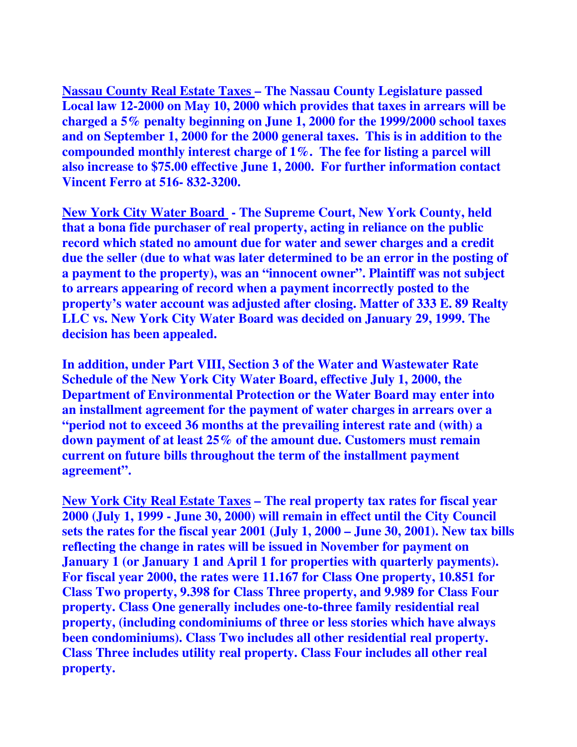**Nassau County Real Estate Taxes – The Nassau County Legislature passed Local law 12-2000 on May 10, 2000 which provides that taxes in arrears will be charged a 5% penalty beginning on June 1, 2000 for the 1999/2000 school taxes and on September 1, 2000 for the 2000 general taxes. This is in addition to the compounded monthly interest charge of 1%. The fee for listing a parcel will also increase to \$75.00 effective June 1, 2000. For further information contact Vincent Ferro at 516- 832-3200.** 

**New York City Water Board - The Supreme Court, New York County, held that a bona fide purchaser of real property, acting in reliance on the public record which stated no amount due for water and sewer charges and a credit due the seller (due to what was later determined to be an error in the posting of a payment to the property), was an "innocent owner". Plaintiff was not subject to arrears appearing of record when a payment incorrectly posted to the property's water account was adjusted after closing. Matter of 333 E. 89 Realty LLC vs. New York City Water Board was decided on January 29, 1999. The decision has been appealed.** 

**In addition, under Part VIII, Section 3 of the Water and Wastewater Rate Schedule of the New York City Water Board, effective July 1, 2000, the Department of Environmental Protection or the Water Board may enter into an installment agreement for the payment of water charges in arrears over a "period not to exceed 36 months at the prevailing interest rate and (with) a down payment of at least 25% of the amount due. Customers must remain current on future bills throughout the term of the installment payment agreement".** 

**New York City Real Estate Taxes – The real property tax rates for fiscal year 2000 (July 1, 1999 - June 30, 2000) will remain in effect until the City Council sets the rates for the fiscal year 2001 (July 1, 2000 – June 30, 2001). New tax bills reflecting the change in rates will be issued in November for payment on January 1 (or January 1 and April 1 for properties with quarterly payments). For fiscal year 2000, the rates were 11.167 for Class One property, 10.851 for Class Two property, 9.398 for Class Three property, and 9.989 for Class Four property. Class One generally includes one-to-three family residential real property, (including condominiums of three or less stories which have always been condominiums). Class Two includes all other residential real property. Class Three includes utility real property. Class Four includes all other real property.**